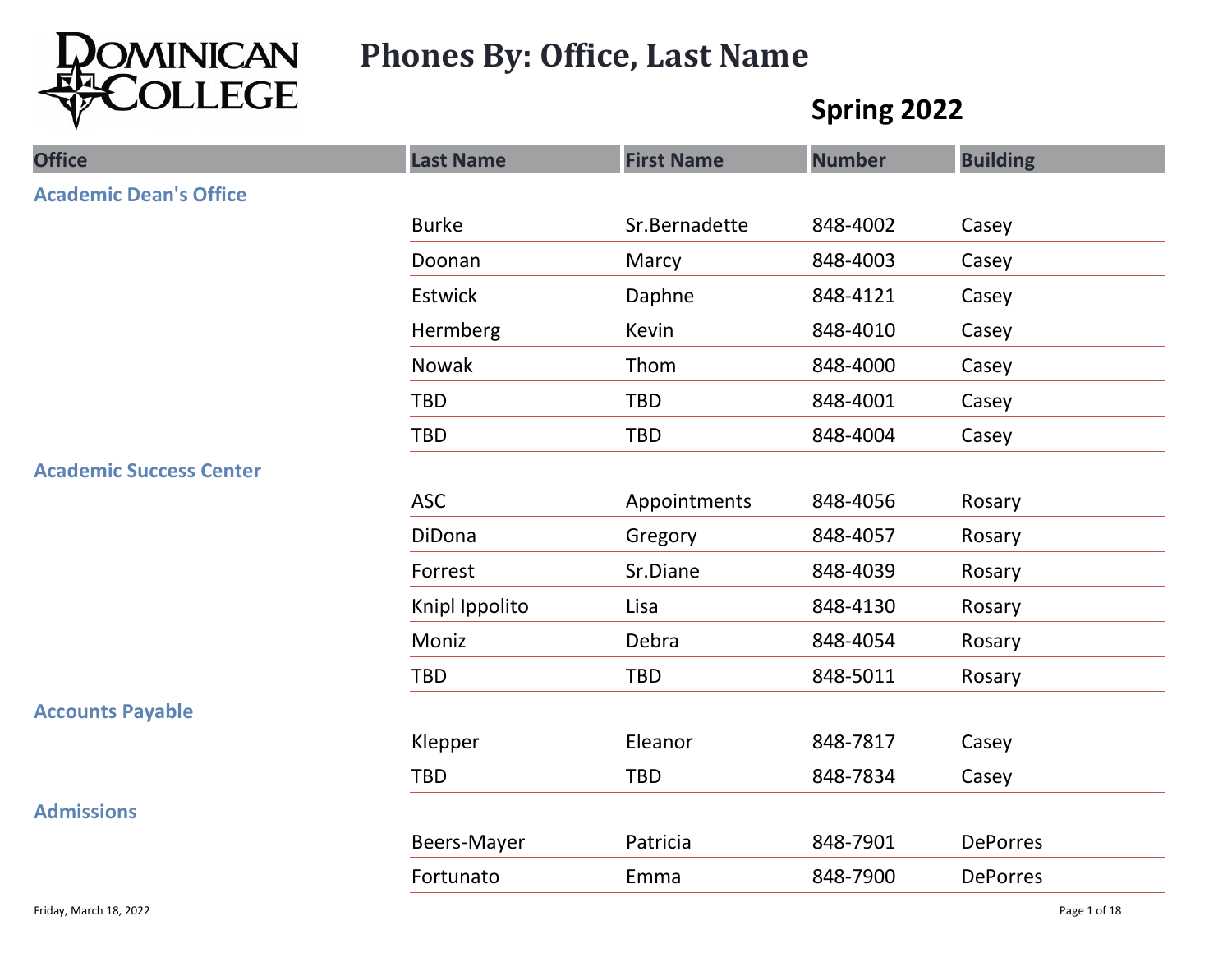

# Phones By: Office, Last Name

## Spring 2022

| LLEGE                          |                  | <b>First Name</b> | Spring 2022   |                 |
|--------------------------------|------------------|-------------------|---------------|-----------------|
| <b>Office</b>                  | <b>Last Name</b> |                   | <b>Number</b> | <b>Building</b> |
| <b>Academic Dean's Office</b>  |                  |                   |               |                 |
|                                | <b>Burke</b>     | Sr.Bernadette     | 848-4002      | Casey           |
|                                | Doonan           | Marcy             | 848-4003      | Casey           |
|                                | Estwick          | Daphne            | 848-4121      | Casey           |
|                                | Hermberg         | Kevin             | 848-4010      | Casey           |
|                                | Nowak            | Thom              | 848-4000      | Casey           |
|                                | <b>TBD</b>       | <b>TBD</b>        | 848-4001      | Casey           |
|                                | TBD              | TBD               | 848-4004      | Casey           |
| <b>Academic Success Center</b> |                  |                   |               |                 |
|                                | ASC              | Appointments      | 848-4056      | Rosary          |
|                                | DiDona           | Gregory           | 848-4057      | Rosary          |
|                                | Forrest          | Sr.Diane          | 848-4039      | Rosary          |
|                                | Knipl Ippolito   | Lisa              | 848-4130      | Rosary          |
|                                | Moniz            | Debra             | 848-4054      | Rosary          |
|                                | TBD              | TBD               | 848-5011      | Rosary          |
| <b>Accounts Payable</b>        |                  |                   |               |                 |
|                                | Klepper          | Eleanor           | 848-7817      | Casey           |
|                                | TBD              | TBD               | 848-7834      | Casey           |
| <b>Admissions</b>              |                  |                   |               |                 |
|                                | Beers-Mayer      | Patricia          | 848-7901      | DePorres        |
|                                | Fortunato        | Emma              | 848-7900      | DePorres        |
| Friday, March 18, 2022         |                  |                   |               | Page 1 of 18    |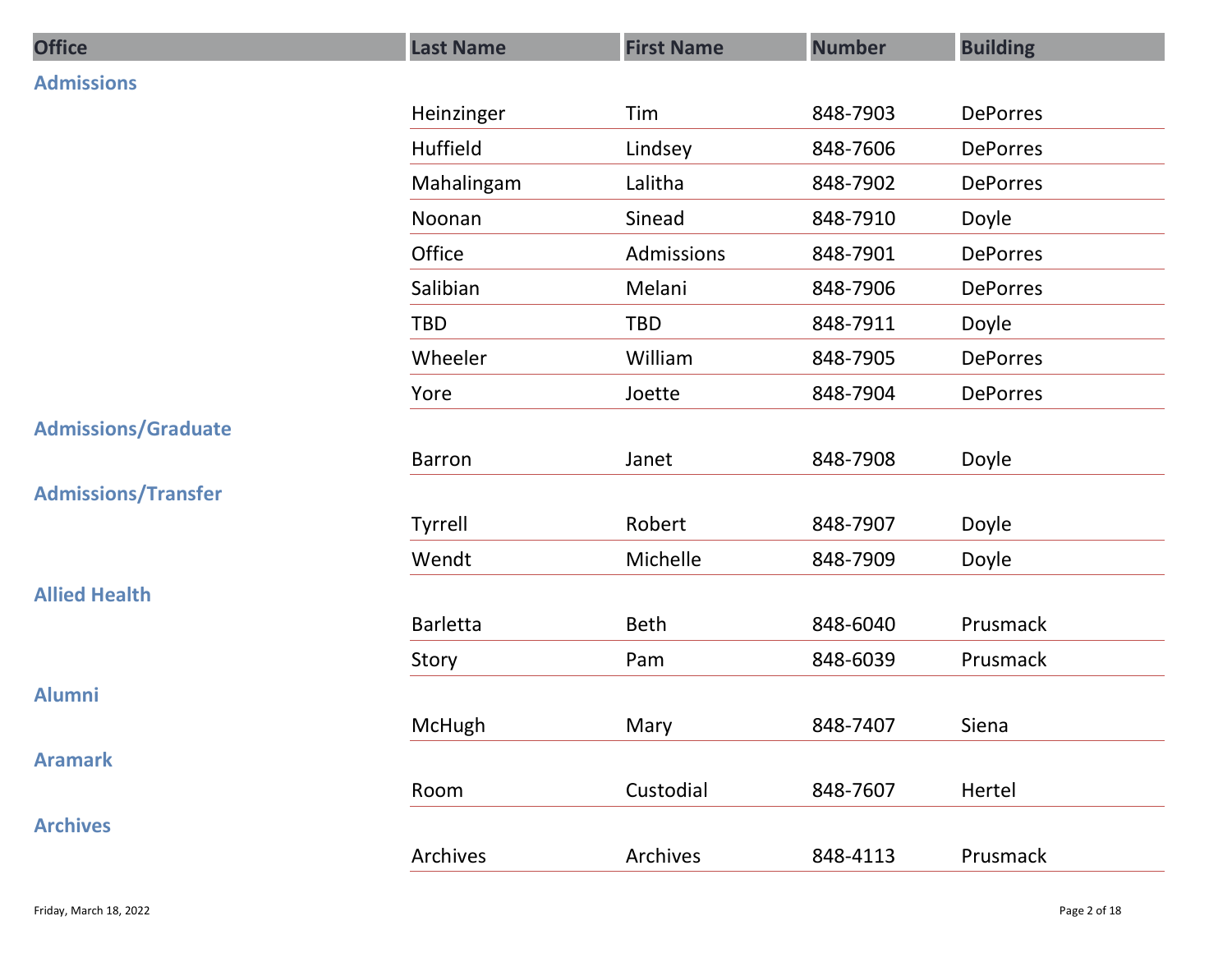| <b>Office</b>              | <b>Last Name</b> | <b>First Name</b> | <b>Number</b> | <b>Building</b> |
|----------------------------|------------------|-------------------|---------------|-----------------|
| <b>Admissions</b>          |                  |                   |               |                 |
|                            | Heinzinger       | Tim               | 848-7903      | DePorres        |
|                            | Huffield         | Lindsey           | 848-7606      | DePorres        |
|                            | Mahalingam       | Lalitha           | 848-7902      | DePorres        |
|                            | Noonan           | Sinead            | 848-7910      | Doyle           |
|                            | Office           | Admissions        | 848-7901      | DePorres        |
|                            | Salibian         | Melani            | 848-7906      | DePorres        |
|                            | TBD              | TBD               | 848-7911      | Doyle           |
|                            | Wheeler          | William           | 848-7905      | DePorres        |
|                            | Yore             | Joette            | 848-7904      | DePorres        |
| <b>Admissions/Graduate</b> |                  |                   |               |                 |
|                            | Barron           | Janet             | 848-7908      | Doyle           |
| <b>Admissions/Transfer</b> |                  |                   |               |                 |
|                            | Tyrrell          | Robert            | 848-7907      | Doyle           |
|                            | Wendt            | Michelle          | 848-7909      | Doyle           |
| <b>Allied Health</b>       |                  |                   |               |                 |
|                            | <b>Barletta</b>  | Beth              | 848-6040      | Prusmack        |
|                            | Story            | Pam               | 848-6039      | Prusmack        |
| <b>Alumni</b>              | McHugh           | Mary              | 848-7407      | Siena           |
| <b>Aramark</b>             |                  |                   |               |                 |
|                            | Room             | Custodial         | 848-7607      | Hertel          |
| <b>Archives</b>            |                  |                   |               |                 |
|                            | Archives         | Archives          | 848-4113      | Prusmack        |
|                            |                  |                   |               |                 |
| Friday, March 18, 2022     |                  |                   |               | Page 2 of 18    |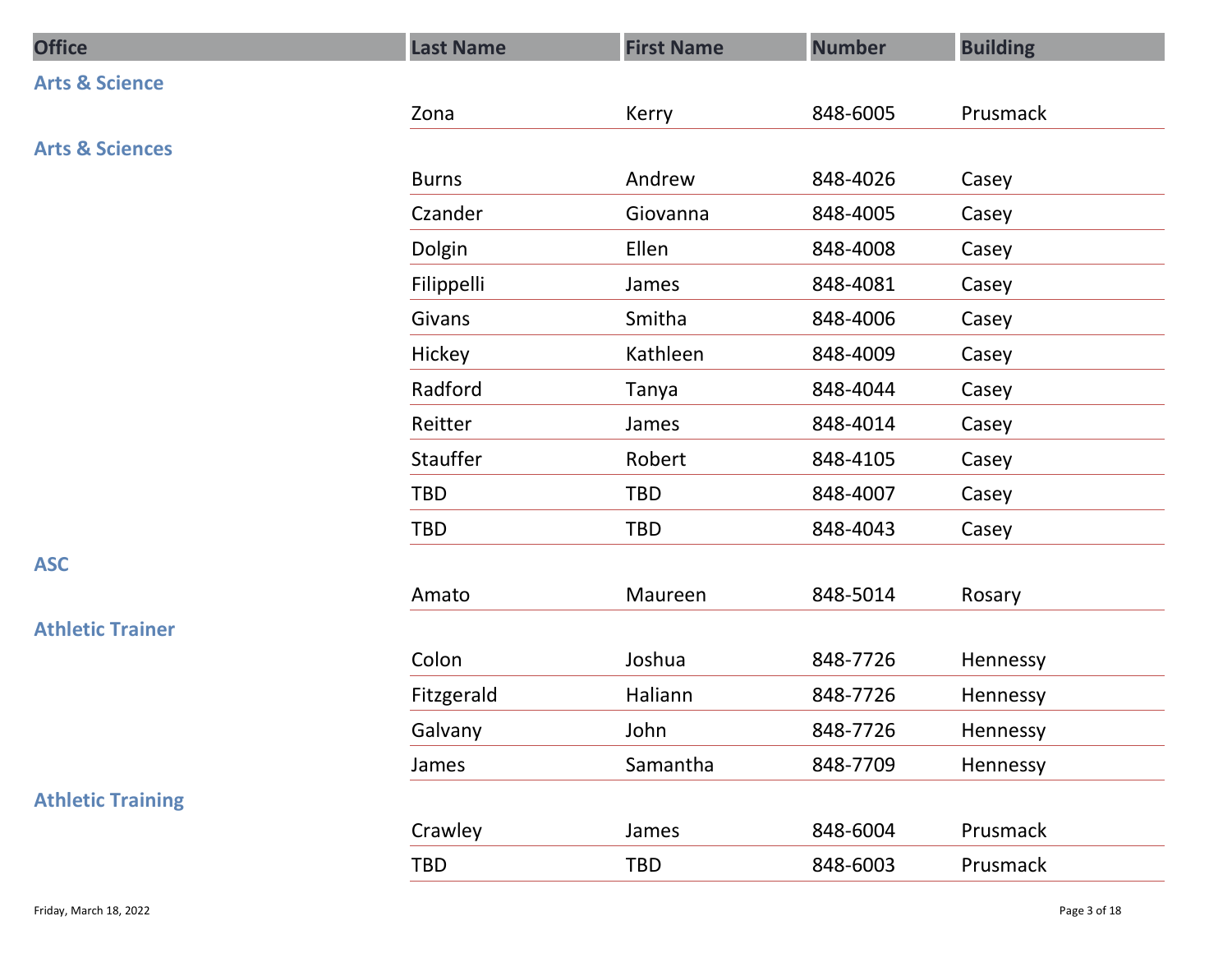| <b>Office</b>              | <b>Last Name</b> | <b>First Name</b> | <b>Number</b> | <b>Building</b> |
|----------------------------|------------------|-------------------|---------------|-----------------|
| <b>Arts &amp; Science</b>  |                  |                   |               |                 |
|                            | Zona             | Kerry             | 848-6005      | Prusmack        |
| <b>Arts &amp; Sciences</b> |                  |                   |               |                 |
|                            | <b>Burns</b>     | Andrew            | 848-4026      | Casey           |
|                            | Czander          | Giovanna          | 848-4005      | Casey           |
|                            | Dolgin           | Ellen             | 848-4008      | Casey           |
|                            | Filippelli       | James             | 848-4081      | Casey           |
|                            | Givans           | Smitha            | 848-4006      | Casey           |
|                            | Hickey           | Kathleen          | 848-4009      | Casey           |
|                            | Radford          | Tanya             | 848-4044      | Casey           |
|                            | Reitter          | James             | 848-4014      | Casey           |
|                            | Stauffer         | Robert            | 848-4105      | Casey           |
|                            | TBD              | TBD               | 848-4007      | Casey           |
|                            | TBD              | TBD               | 848-4043      | Casey           |
| <b>ASC</b>                 |                  |                   |               |                 |
|                            | Amato            | Maureen           | 848-5014      | Rosary          |
| <b>Athletic Trainer</b>    |                  |                   |               |                 |
|                            | Colon            | Joshua            | 848-7726      | Hennessy        |
|                            | Fitzgerald       | Haliann           | 848-7726      | Hennessy        |
|                            | Galvany          | John              | 848-7726      | Hennessy        |
|                            | James            | Samantha          | 848-7709      | Hennessy        |
| <b>Athletic Training</b>   |                  |                   |               |                 |
|                            | Crawley          | James             | 848-6004      | Prusmack        |
|                            | TBD              | TBD               | 848-6003      | Prusmack        |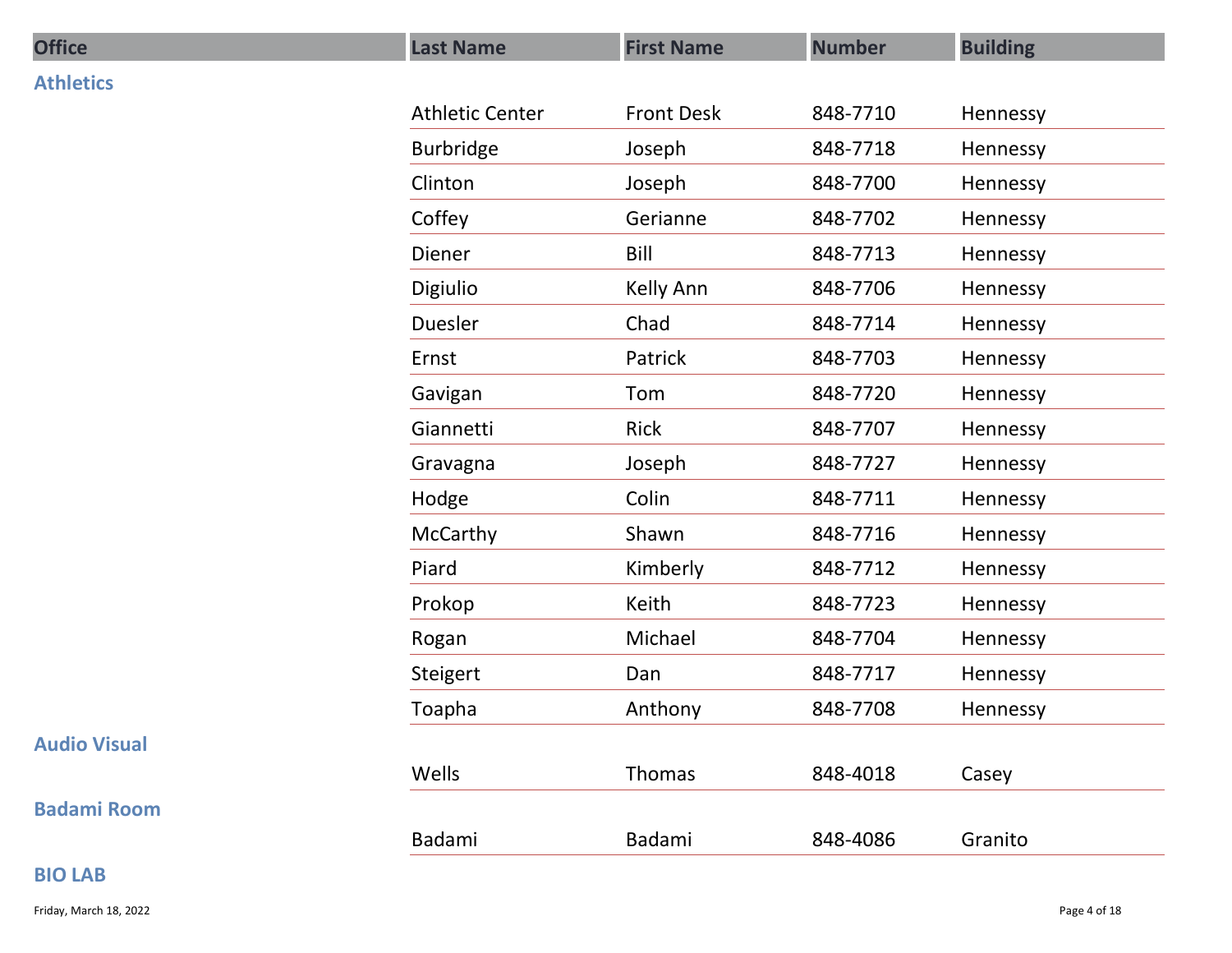| <b>Office</b>       | <b>Last Name</b>       | <b>First Name</b> | <b>Number</b> | <b>Building</b> |
|---------------------|------------------------|-------------------|---------------|-----------------|
| <b>Athletics</b>    |                        |                   |               |                 |
|                     | <b>Athletic Center</b> | <b>Front Desk</b> | 848-7710      | Hennessy        |
|                     | Burbridge              | Joseph            | 848-7718      | Hennessy        |
|                     | Clinton                | Joseph            | 848-7700      | Hennessy        |
|                     | Coffey                 | Gerianne          | 848-7702      | Hennessy        |
|                     | Diener                 | Bill              | 848-7713      | Hennessy        |
|                     | Digiulio               | Kelly Ann         | 848-7706      | Hennessy        |
|                     | Duesler                | Chad              | 848-7714      | Hennessy        |
|                     | Ernst                  | Patrick           | 848-7703      | Hennessy        |
|                     | Gavigan                | Tom               | 848-7720      | Hennessy        |
|                     | Giannetti              | Rick              | 848-7707      | Hennessy        |
|                     | Gravagna               | Joseph            | 848-7727      | Hennessy        |
|                     | Hodge                  | Colin             | 848-7711      | Hennessy        |
|                     | McCarthy               | Shawn             | 848-7716      | Hennessy        |
|                     | Piard                  | Kimberly          | 848-7712      | Hennessy        |
|                     | Prokop                 | Keith             | 848-7723      | Hennessy        |
|                     | Rogan                  | Michael           | 848-7704      | Hennessy        |
|                     | Steigert               | Dan               | 848-7717      | Hennessy        |
|                     | Toapha                 | Anthony           | 848-7708      | Hennessy        |
| <b>Audio Visual</b> |                        |                   |               |                 |
|                     | Wells                  | Thomas            | 848-4018      | Casey           |
| <b>Badami Room</b>  |                        |                   |               |                 |
|                     | Badami                 | Badami            | 848-4086      | Granito         |
| <b>BIO LAB</b>      |                        |                   |               |                 |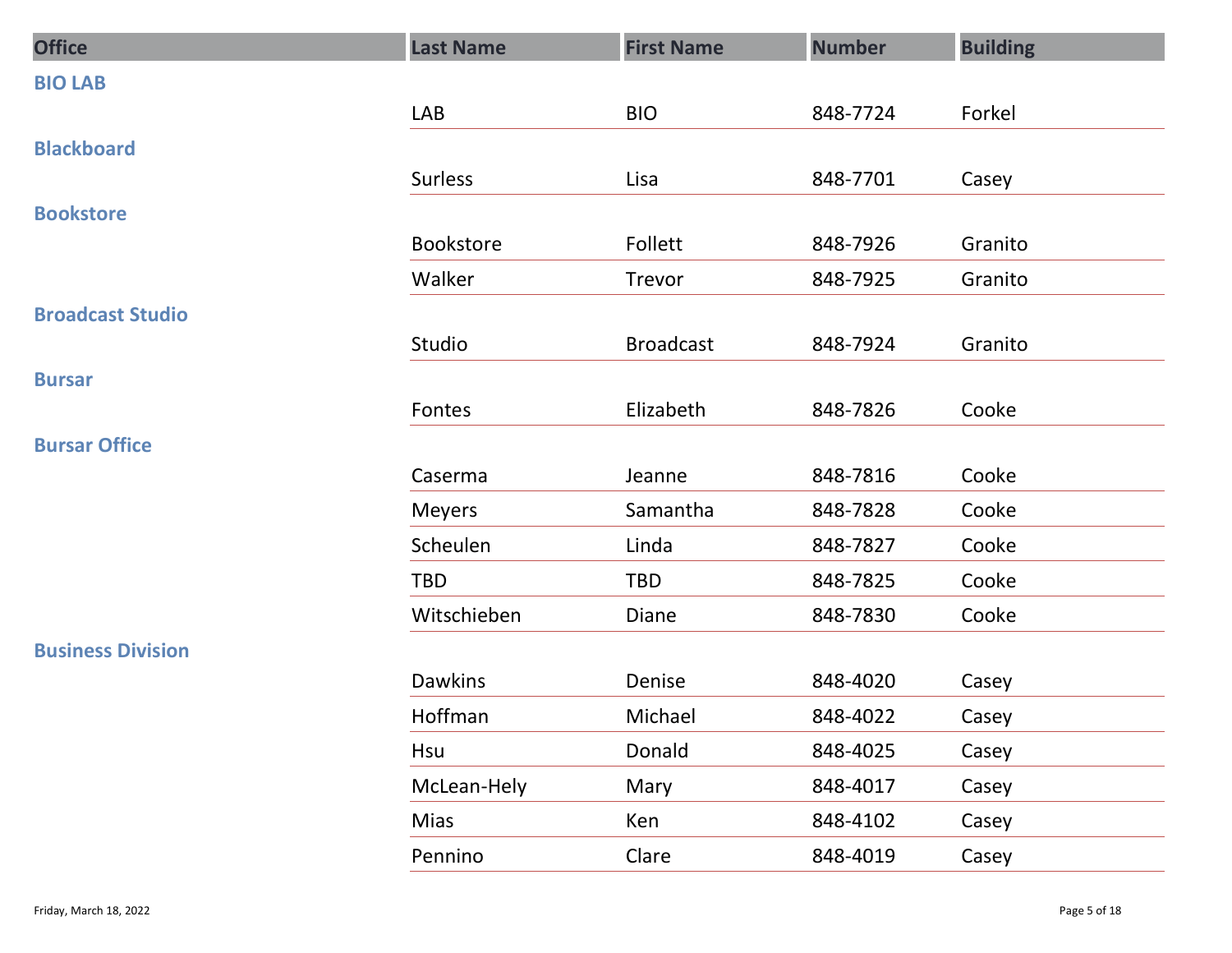| <b>Office</b>            | <b>Last Name</b> | <b>First Name</b> | <b>Number</b> | <b>Building</b> |
|--------------------------|------------------|-------------------|---------------|-----------------|
| <b>BIO LAB</b>           |                  |                   |               |                 |
|                          | LAB              | <b>BIO</b>        | 848-7724      | Forkel          |
| <b>Blackboard</b>        |                  |                   |               |                 |
|                          | Surless          | Lisa              | 848-7701      | Casey           |
| <b>Bookstore</b>         | Bookstore        | Follett           | 848-7926      | Granito         |
|                          | Walker           | Trevor            | 848-7925      | Granito         |
| <b>Broadcast Studio</b>  |                  |                   |               |                 |
|                          | Studio           | <b>Broadcast</b>  | 848-7924      | Granito         |
| <b>Bursar</b>            |                  |                   |               |                 |
|                          | Fontes           | Elizabeth         | 848-7826      | Cooke           |
| <b>Bursar Office</b>     |                  |                   |               |                 |
|                          | Caserma          | Jeanne            | 848-7816      | Cooke           |
|                          | Meyers           | Samantha          | 848-7828      | Cooke           |
|                          | Scheulen         | Linda             | 848-7827      | Cooke           |
|                          | TBD              | TBD               | 848-7825      | Cooke           |
|                          | Witschieben      | Diane             | 848-7830      | Cooke           |
| <b>Business Division</b> |                  |                   |               |                 |
|                          | Dawkins          | Denise            | 848-4020      | Casey           |
|                          | Hoffman          | Michael           | 848-4022      | Casey           |
|                          | Hsu              | Donald            | 848-4025      | Casey           |
|                          | McLean-Hely      | Mary              | 848-4017      | Casey           |
|                          | Mias             | Ken               | 848-4102      | Casey           |
|                          | Pennino          | Clare             | 848-4019      | Casey           |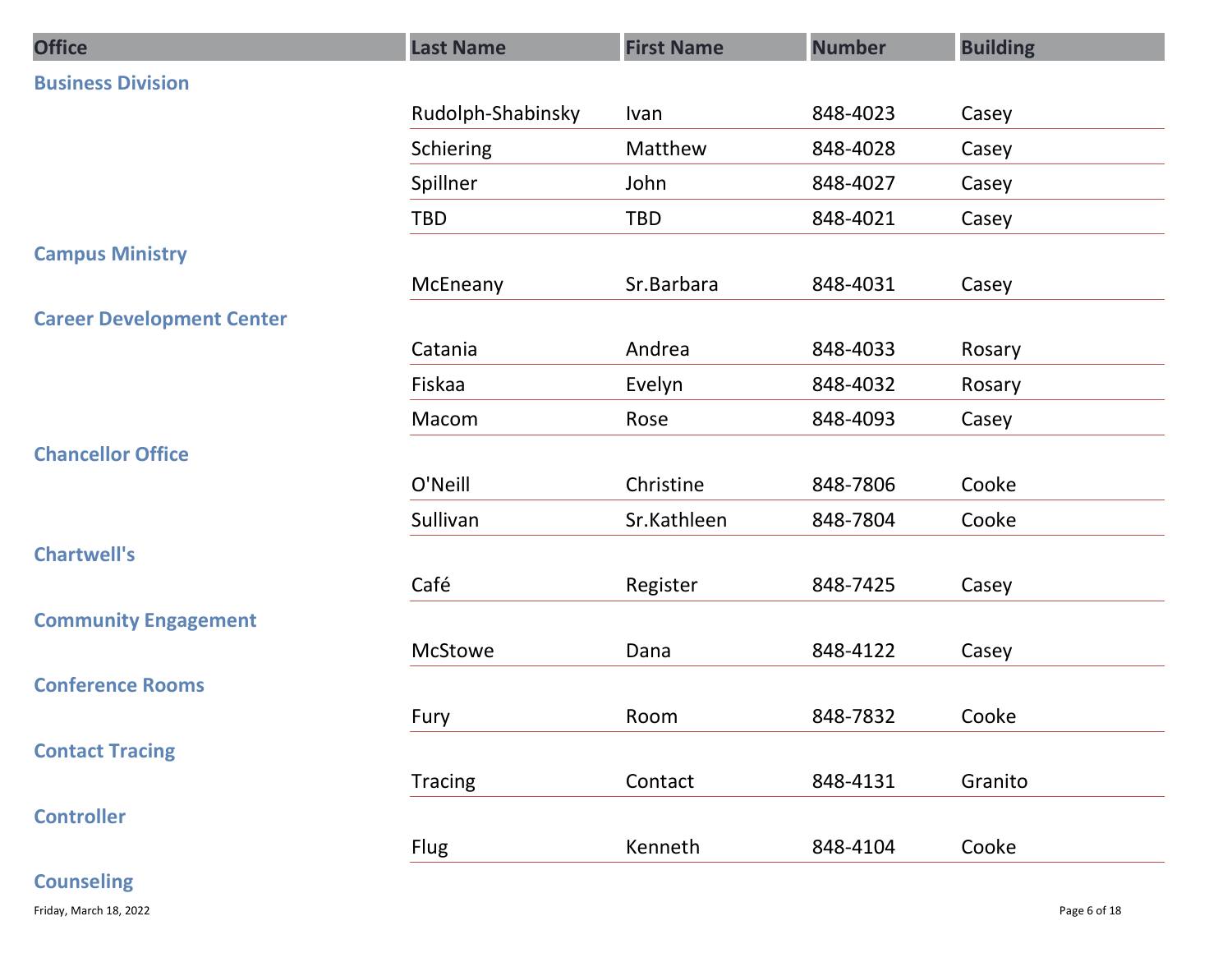| <b>Office</b>                    | <b>Last Name</b>  | <b>First Name</b> | <b>Number</b> | <b>Building</b> |
|----------------------------------|-------------------|-------------------|---------------|-----------------|
| <b>Business Division</b>         |                   |                   |               |                 |
|                                  | Rudolph-Shabinsky | Ivan              | 848-4023      | Casey           |
|                                  | Schiering         | Matthew           | 848-4028      | Casey           |
|                                  | Spillner          | John              | 848-4027      | Casey           |
|                                  | TBD               | TBD               | 848-4021      | Casey           |
| <b>Campus Ministry</b>           |                   |                   |               |                 |
|                                  | McEneany          | Sr.Barbara        | 848-4031      | Casey           |
| <b>Career Development Center</b> |                   |                   |               |                 |
|                                  | Catania           | Andrea            | 848-4033      | Rosary          |
|                                  | Fiskaa            | Evelyn            | 848-4032      | Rosary          |
| <b>Chancellor Office</b>         | Macom             | Rose              | 848-4093      | Casey           |
|                                  | O'Neill           | Christine         | 848-7806      | Cooke           |
|                                  | Sullivan          | Sr.Kathleen       | 848-7804      | Cooke           |
| <b>Chartwell's</b>               |                   |                   |               |                 |
|                                  | Café              | Register          | 848-7425      | Casey           |
| <b>Community Engagement</b>      |                   |                   |               |                 |
|                                  | McStowe           | Dana              | 848-4122      | Casey           |
| <b>Conference Rooms</b>          |                   |                   |               |                 |
|                                  | Fury              | Room              | 848-7832      | Cooke           |
| <b>Contact Tracing</b>           |                   |                   |               |                 |
|                                  | Tracing           | Contact           | 848-4131      | Granito         |
| <b>Controller</b>                | Flug              | Kenneth           | 848-4104      | Cooke           |
| <b>Counseling</b>                |                   |                   |               |                 |
| Friday, March 18, 2022           |                   |                   |               | Page 6 of 18    |
|                                  |                   |                   |               |                 |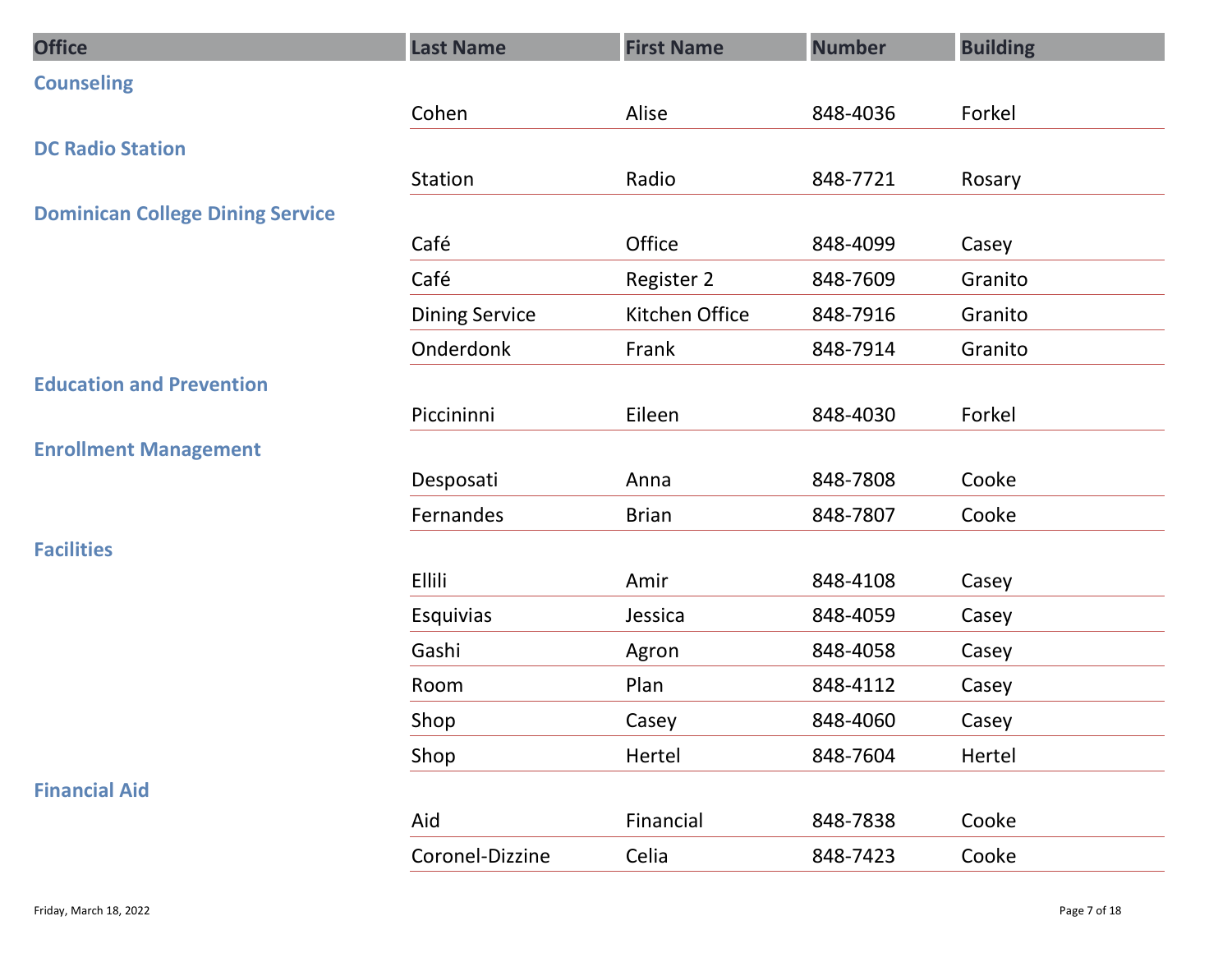| <b>Office</b>                           | <b>Last Name</b>      | <b>First Name</b> | <b>Number</b> | <b>Building</b> |
|-----------------------------------------|-----------------------|-------------------|---------------|-----------------|
| <b>Counseling</b>                       |                       |                   |               |                 |
|                                         | Cohen                 | Alise             | 848-4036      | Forkel          |
| <b>DC Radio Station</b>                 |                       |                   |               |                 |
|                                         | Station               | Radio             | 848-7721      | Rosary          |
| <b>Dominican College Dining Service</b> |                       |                   |               |                 |
|                                         | Café                  | Office            | 848-4099      | Casey           |
|                                         | Café                  | Register 2        | 848-7609      | Granito         |
|                                         | <b>Dining Service</b> | Kitchen Office    | 848-7916      | Granito         |
|                                         | Onderdonk             | Frank             | 848-7914      | Granito         |
| <b>Education and Prevention</b>         | Piccininni            | Eileen            | 848-4030      | Forkel          |
| <b>Enrollment Management</b>            |                       |                   |               |                 |
|                                         | Desposati             | Anna              | 848-7808      | Cooke           |
|                                         | Fernandes             | <b>Brian</b>      | 848-7807      | Cooke           |
| <b>Facilities</b>                       |                       |                   |               |                 |
|                                         | Ellili                | Amir              | 848-4108      | Casey           |
|                                         | Esquivias             | Jessica           | 848-4059      | Casey           |
|                                         | Gashi                 | Agron             | 848-4058      | Casey           |
|                                         | Room                  | Plan              | 848-4112      | Casey           |
|                                         | Shop                  | Casey             | 848-4060      | Casey           |
|                                         | Shop                  | Hertel            | 848-7604      | Hertel          |
| <b>Financial Aid</b>                    |                       |                   |               |                 |
|                                         | Aid                   | Financial         | 848-7838      | Cooke           |
|                                         | Coronel-Dizzine       | Celia             | 848-7423      | Cooke           |
|                                         |                       |                   |               |                 |
| Friday, March 18, 2022                  |                       |                   |               | Page 7 of 18    |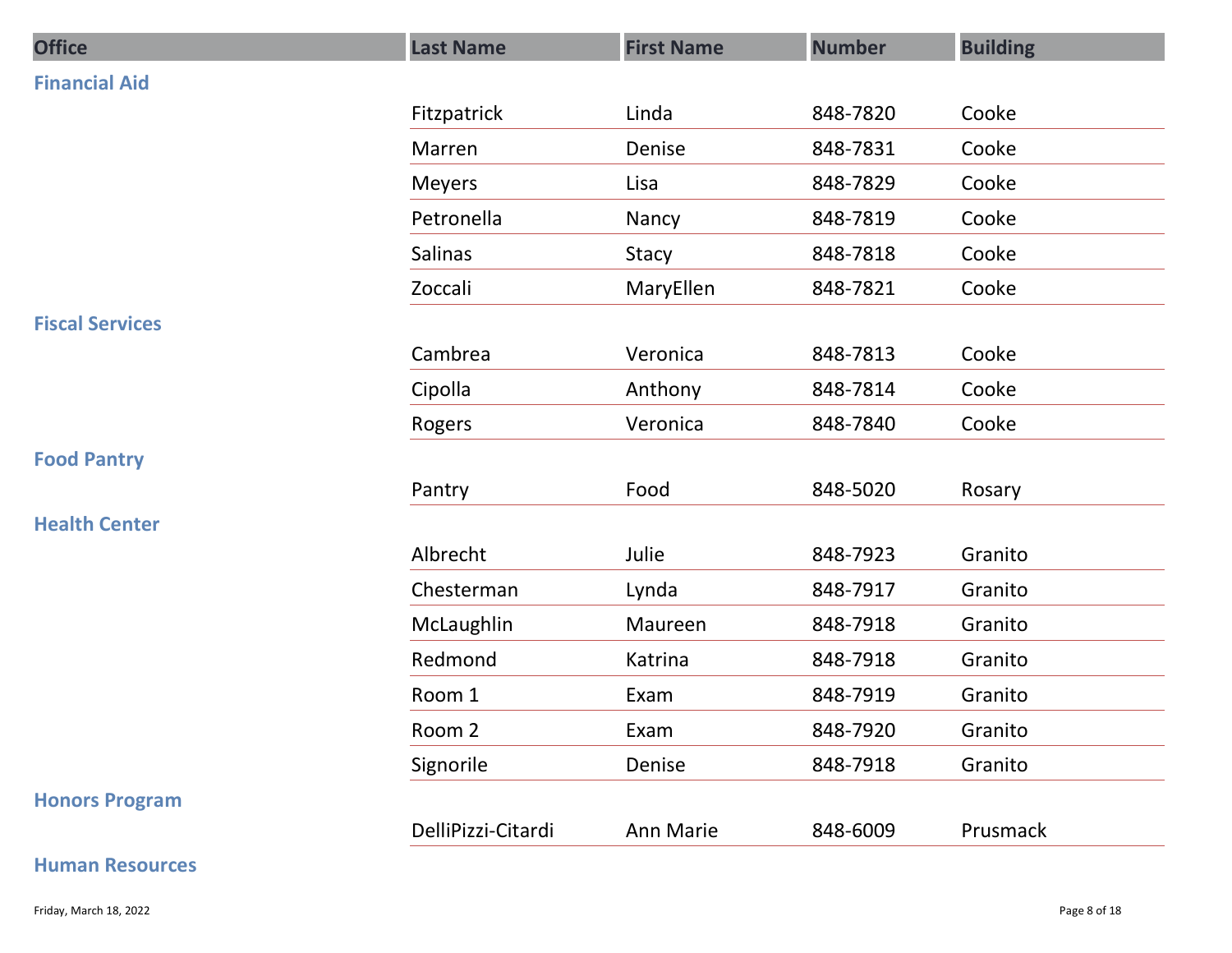| <b>Office</b>          | <b>Last Name</b>   | <b>First Name</b> | <b>Number</b> | <b>Building</b> |
|------------------------|--------------------|-------------------|---------------|-----------------|
| <b>Financial Aid</b>   |                    |                   |               |                 |
|                        | Fitzpatrick        | Linda             | 848-7820      | Cooke           |
|                        | Marren             | Denise            | 848-7831      | Cooke           |
|                        | <b>Meyers</b>      | Lisa              | 848-7829      | Cooke           |
|                        | Petronella         | Nancy             | 848-7819      | Cooke           |
|                        | Salinas            | Stacy             | 848-7818      | Cooke           |
|                        | Zoccali            | MaryEllen         | 848-7821      | Cooke           |
| <b>Fiscal Services</b> |                    |                   |               |                 |
|                        | Cambrea            | Veronica          | 848-7813      | Cooke           |
|                        | Cipolla            | Anthony           | 848-7814      | Cooke           |
|                        | Rogers             | Veronica          | 848-7840      | Cooke           |
| <b>Food Pantry</b>     |                    |                   |               |                 |
|                        | Pantry             | Food              | 848-5020      | Rosary          |
| <b>Health Center</b>   |                    |                   |               |                 |
|                        | Albrecht           | Julie             | 848-7923      | Granito         |
|                        | Chesterman         | Lynda             | 848-7917      | Granito         |
|                        | McLaughlin         | Maureen           | 848-7918      | Granito         |
|                        | Redmond            | Katrina           | 848-7918      | Granito         |
|                        | Room 1             | Exam              | 848-7919      | Granito         |
|                        | Room 2             | Exam              | 848-7920      | Granito         |
|                        | Signorile          | Denise            | 848-7918      | Granito         |
| <b>Honors Program</b>  |                    |                   |               |                 |
|                        | DelliPizzi-Citardi | Ann Marie         | 848-6009      | Prusmack        |
| <b>Human Resources</b> |                    |                   |               |                 |
| Friday, March 18, 2022 |                    |                   |               | Page 8 of 18    |

#### Human Resources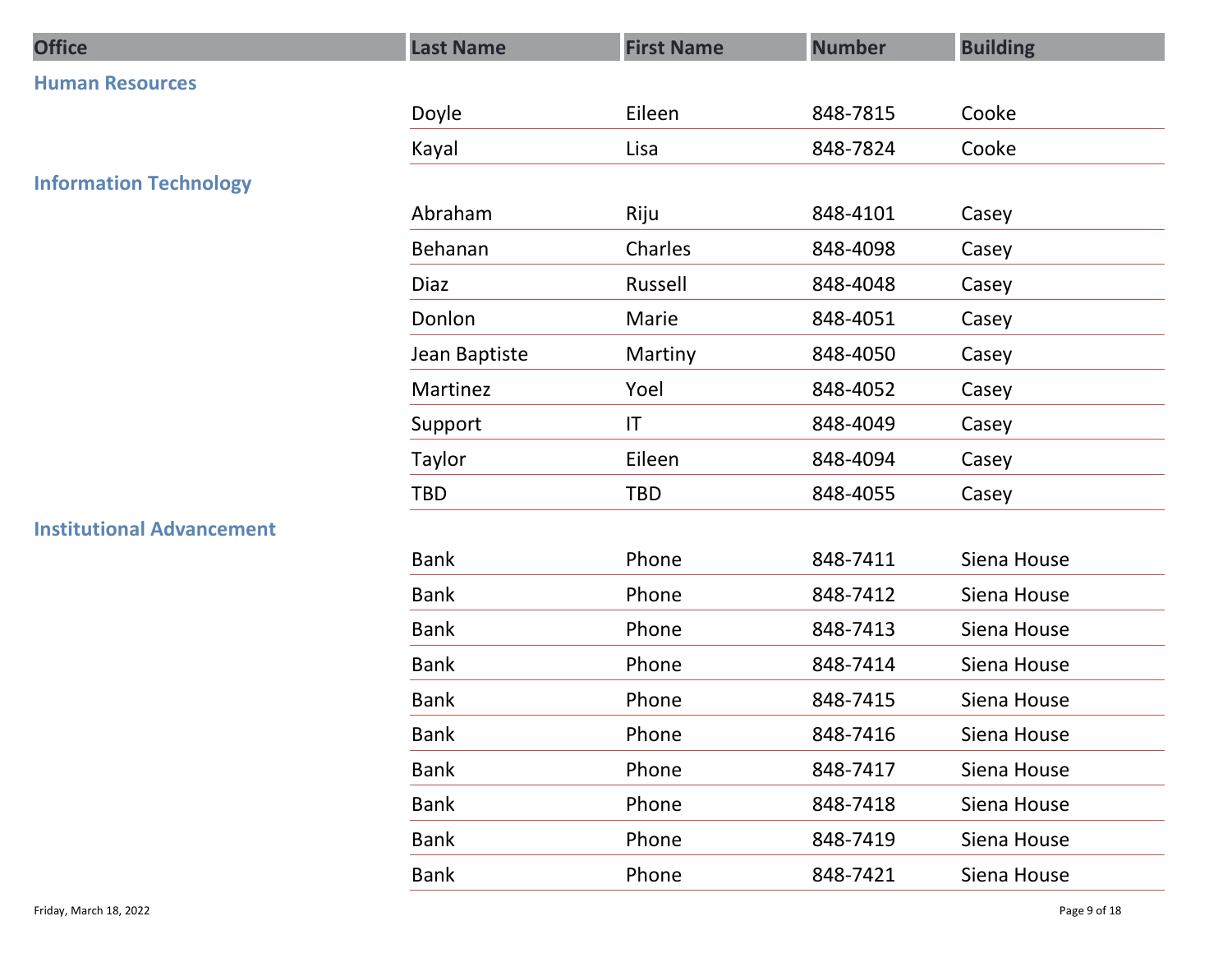| <b>Office</b>                    | <b>Last Name</b> | <b>First Name</b> | <b>Number</b> | <b>Building</b> |
|----------------------------------|------------------|-------------------|---------------|-----------------|
| <b>Human Resources</b>           |                  |                   |               |                 |
|                                  | Doyle            | Eileen            | 848-7815      | Cooke           |
|                                  | Kayal            | Lisa              | 848-7824      | Cooke           |
| <b>Information Technology</b>    |                  |                   |               |                 |
|                                  | Abraham          | Riju              | 848-4101      | Casey           |
|                                  | Behanan          | Charles           | 848-4098      | Casey           |
|                                  | Diaz             | Russell           | 848-4048      | Casey           |
|                                  | Donlon           | Marie             | 848-4051      | Casey           |
|                                  | Jean Baptiste    | Martiny           | 848-4050      | Casey           |
|                                  | Martinez         | Yoel              | 848-4052      | Casey           |
|                                  | Support          | IT                | 848-4049      | Casey           |
|                                  | Taylor           | Eileen            | 848-4094      | Casey           |
|                                  | TBD              | TBD               | 848-4055      | Casey           |
| <b>Institutional Advancement</b> |                  |                   |               |                 |
|                                  | Bank             | Phone             | 848-7411      | Siena House     |
|                                  | Bank             | Phone             | 848-7412      | Siena House     |
|                                  | Bank             | Phone             | 848-7413      | Siena House     |
|                                  | Bank             | Phone             | 848-7414      | Siena House     |
|                                  | Bank             | Phone             | 848-7415      | Siena House     |
|                                  | Bank             | Phone             | 848-7416      | Siena House     |
|                                  | Bank             | Phone             | 848-7417      | Siena House     |
|                                  | Bank             | Phone             | 848-7418      | Siena House     |
|                                  | Bank             | Phone             | 848-7419      | Siena House     |
|                                  | Bank             | Phone             | 848-7421      | Siena House     |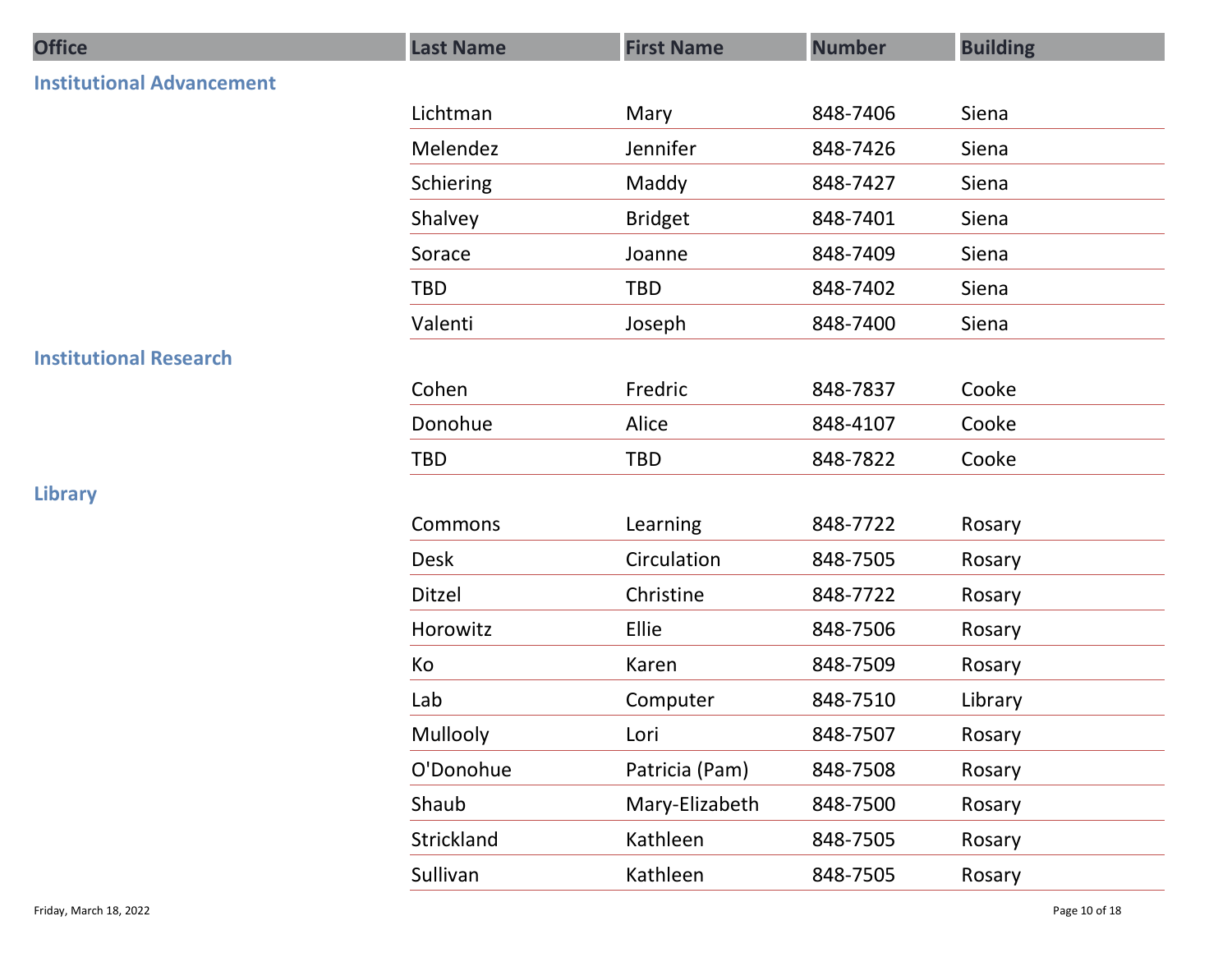| <b>Office</b>                    | <b>Last Name</b> | <b>First Name</b> | <b>Number</b> | <b>Building</b> |
|----------------------------------|------------------|-------------------|---------------|-----------------|
| <b>Institutional Advancement</b> |                  |                   |               |                 |
|                                  | Lichtman         | Mary              | 848-7406      | Siena           |
|                                  | Melendez         | Jennifer          | 848-7426      | Siena           |
|                                  | Schiering        | Maddy             | 848-7427      | Siena           |
|                                  | Shalvey          | <b>Bridget</b>    | 848-7401      | Siena           |
|                                  | Sorace           | Joanne            | 848-7409      | Siena           |
|                                  | TBD              | TBD               | 848-7402      | Siena           |
|                                  | Valenti          | Joseph            | 848-7400      | Siena           |
| <b>Institutional Research</b>    |                  |                   |               |                 |
|                                  | Cohen            | Fredric           | 848-7837      | Cooke           |
|                                  | Donohue          | Alice             | 848-4107      | Cooke           |
|                                  | TBD              | TBD               | 848-7822      | Cooke           |
| <b>Library</b>                   |                  |                   |               |                 |
|                                  | Commons          | Learning          | 848-7722      | Rosary          |
|                                  | Desk             | Circulation       | 848-7505      | Rosary          |
|                                  | Ditzel           | Christine         | 848-7722      | Rosary          |
|                                  | Horowitz         | Ellie             | 848-7506      | Rosary          |
|                                  | Ko               | Karen             | 848-7509      | Rosary          |
|                                  | Lab              | Computer          | 848-7510      | Library         |
|                                  | Mullooly         | Lori              | 848-7507      | Rosary          |
|                                  | O'Donohue        | Patricia (Pam)    | 848-7508      | Rosary          |
|                                  | Shaub            | Mary-Elizabeth    | 848-7500      | Rosary          |
|                                  | Strickland       | Kathleen          | 848-7505      | Rosary          |
|                                  | Sullivan         | Kathleen          | 848-7505      | Rosary          |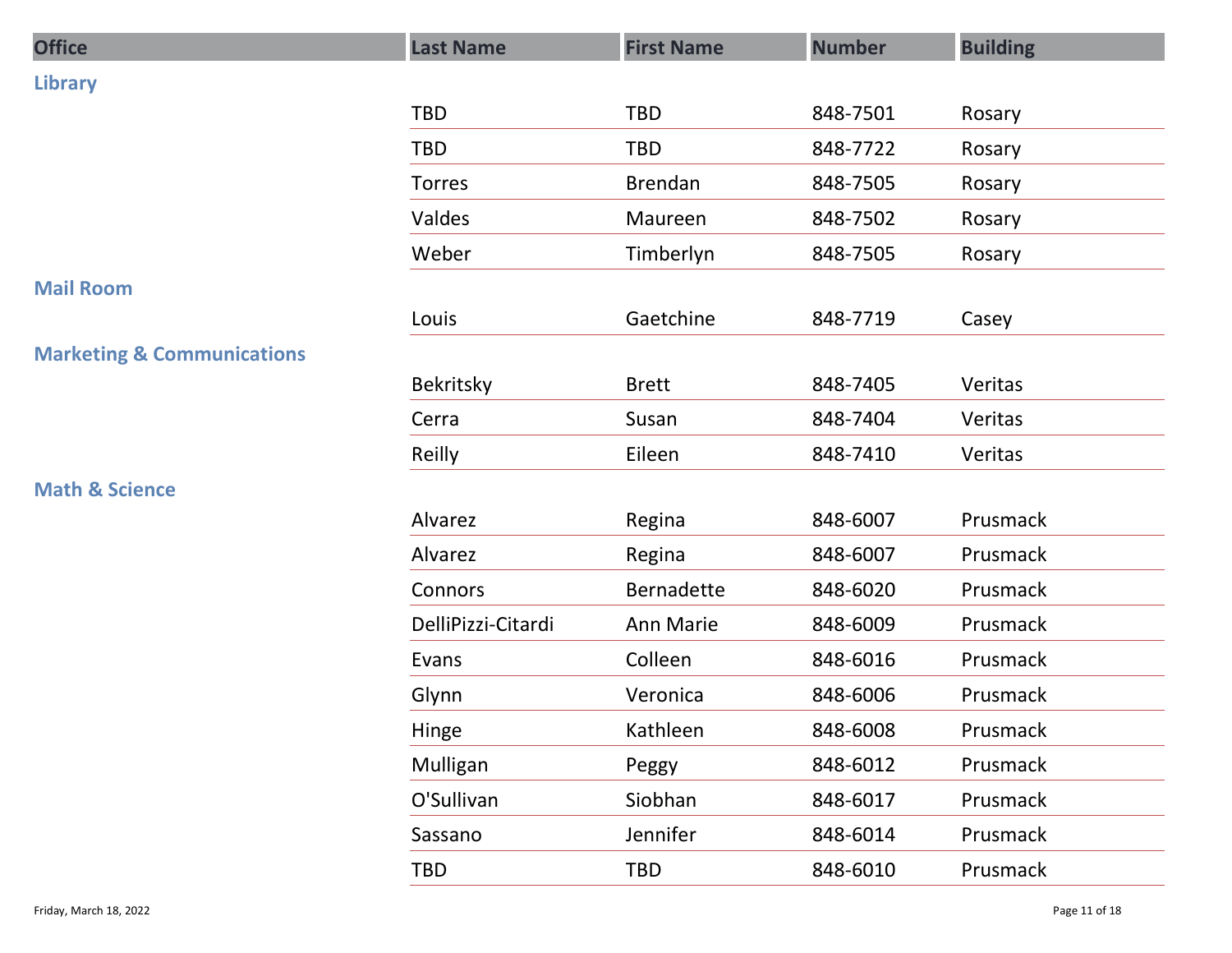| <b>Office</b>                         | <b>Last Name</b>   | <b>First Name</b> | <b>Number</b> | <b>Building</b> |
|---------------------------------------|--------------------|-------------------|---------------|-----------------|
| <b>Library</b>                        |                    |                   |               |                 |
|                                       | TBD                | TBD               | 848-7501      | Rosary          |
|                                       | TBD                | TBD               | 848-7722      | Rosary          |
|                                       | Torres             | Brendan           | 848-7505      | Rosary          |
|                                       | Valdes             | Maureen           | 848-7502      | Rosary          |
|                                       | Weber              | Timberlyn         | 848-7505      | Rosary          |
| <b>Mail Room</b>                      |                    |                   |               |                 |
|                                       | Louis              | Gaetchine         | 848-7719      | Casey           |
| <b>Marketing &amp; Communications</b> |                    |                   |               |                 |
|                                       | Bekritsky          | <b>Brett</b>      | 848-7405      | Veritas         |
|                                       | Cerra              | Susan             | 848-7404      | Veritas         |
|                                       | Reilly             | Eileen            | 848-7410      | Veritas         |
| <b>Math &amp; Science</b>             |                    |                   |               |                 |
|                                       | Alvarez            | Regina            | 848-6007      | Prusmack        |
|                                       | Alvarez            | Regina            | 848-6007      | Prusmack        |
|                                       | Connors            | Bernadette        | 848-6020      | Prusmack        |
|                                       | DelliPizzi-Citardi | Ann Marie         | 848-6009      | Prusmack        |
|                                       | Evans              | Colleen           | 848-6016      | Prusmack        |
|                                       | Glynn              | Veronica          | 848-6006      | Prusmack        |
|                                       | Hinge              | Kathleen          | 848-6008      | Prusmack        |
|                                       | Mulligan           | Peggy             | 848-6012      | Prusmack        |
|                                       | O'Sullivan         | Siobhan           | 848-6017      | Prusmack        |
|                                       | Sassano            | Jennifer          | 848-6014      | Prusmack        |
|                                       | TBD                | TBD               | 848-6010      | Prusmack        |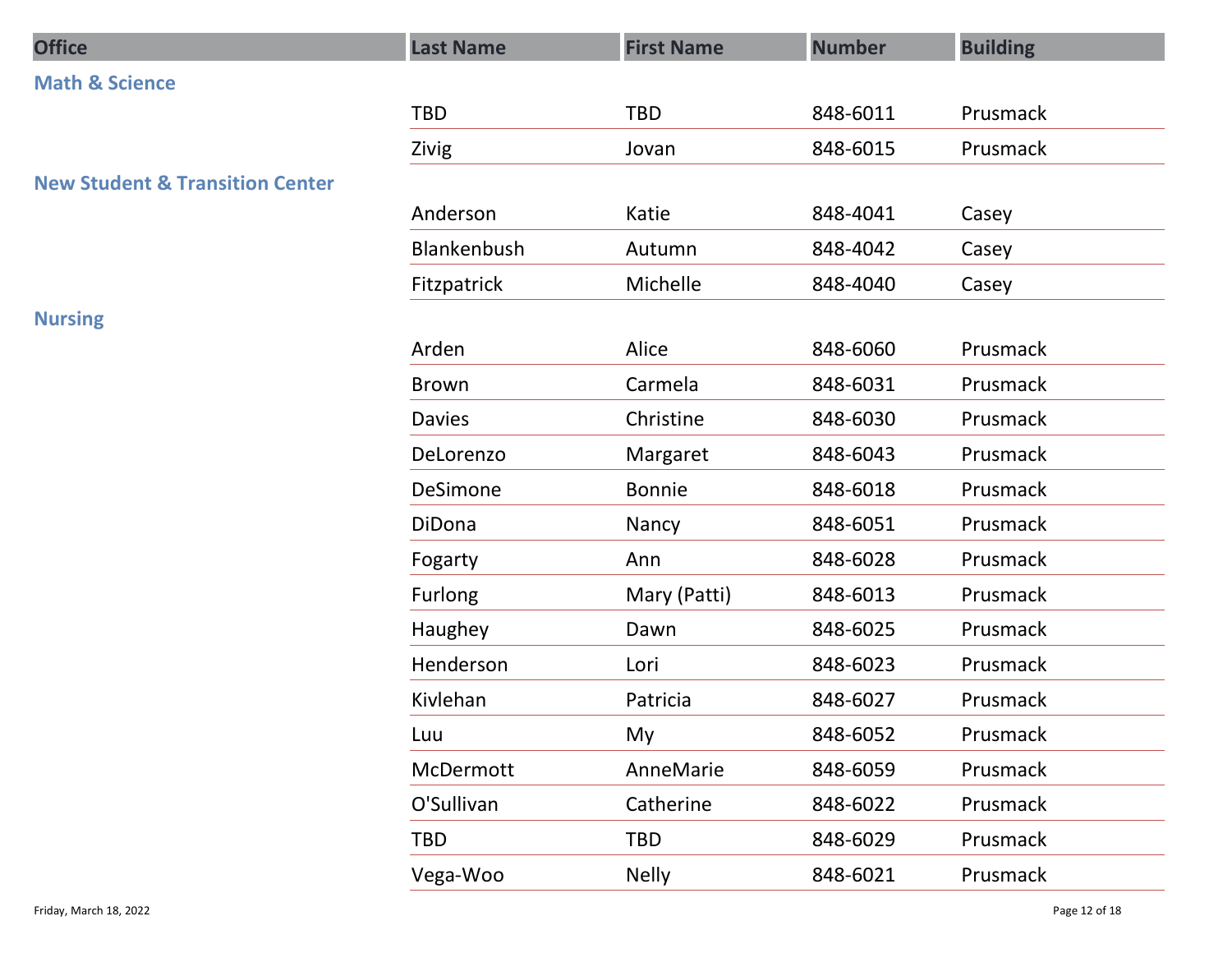| <b>Office</b>                              | <b>Last Name</b> | <b>First Name</b> | <b>Number</b> | <b>Building</b> |
|--------------------------------------------|------------------|-------------------|---------------|-----------------|
| <b>Math &amp; Science</b>                  |                  |                   |               |                 |
|                                            | TBD              | TBD               | 848-6011      | Prusmack        |
|                                            | Zivig            | Jovan             | 848-6015      | Prusmack        |
| <b>New Student &amp; Transition Center</b> |                  |                   |               |                 |
|                                            | Anderson         | Katie             | 848-4041      | Casey           |
|                                            | Blankenbush      | Autumn            | 848-4042      | Casey           |
|                                            | Fitzpatrick      | Michelle          | 848-4040      | Casey           |
| <b>Nursing</b>                             |                  |                   |               |                 |
|                                            | Arden            | Alice             | 848-6060      | Prusmack        |
|                                            | Brown            | Carmela           | 848-6031      | Prusmack        |
|                                            | Davies           | Christine         | 848-6030      | Prusmack        |
|                                            | DeLorenzo        | Margaret          | 848-6043      | Prusmack        |
|                                            | DeSimone         | Bonnie            | 848-6018      | Prusmack        |
|                                            | DiDona           | Nancy             | 848-6051      | Prusmack        |
|                                            | Fogarty          | Ann               | 848-6028      | Prusmack        |
|                                            | Furlong          | Mary (Patti)      | 848-6013      | Prusmack        |
|                                            | Haughey          | Dawn              | 848-6025      | Prusmack        |
|                                            | Henderson        | Lori              | 848-6023      | Prusmack        |
|                                            | Kivlehan         | Patricia          | 848-6027      | Prusmack        |
|                                            | Luu              | My                | 848-6052      | Prusmack        |
|                                            | McDermott        | AnneMarie         | 848-6059      | Prusmack        |
|                                            | O'Sullivan       | Catherine         | 848-6022      | Prusmack        |
|                                            | TBD              | TBD               | 848-6029      | Prusmack        |
|                                            | Vega-Woo         | Nelly             | 848-6021      | Prusmack        |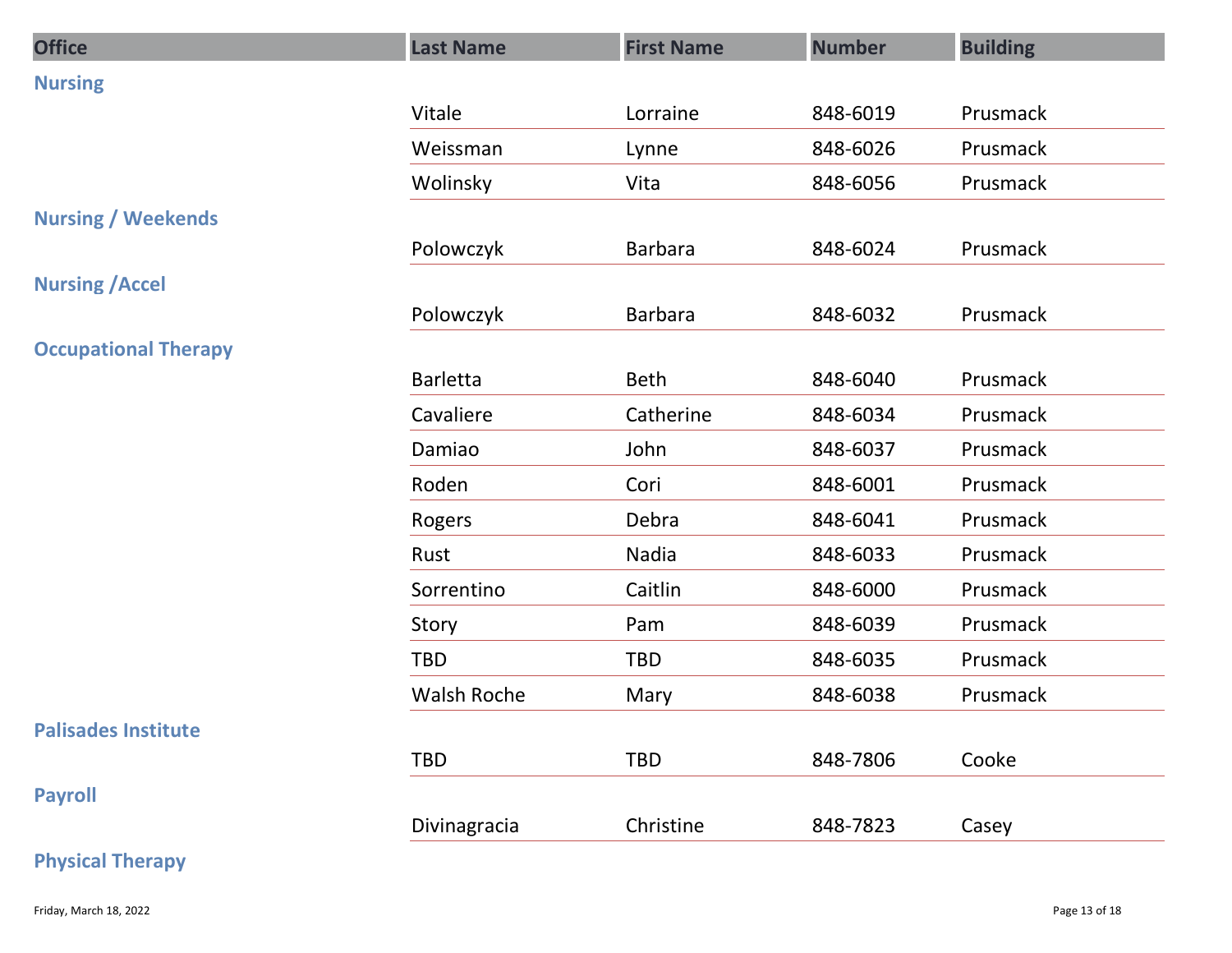| <b>Office</b>               | <b>Last Name</b> | <b>First Name</b> | <b>Number</b> | <b>Building</b> |
|-----------------------------|------------------|-------------------|---------------|-----------------|
| <b>Nursing</b>              |                  |                   |               |                 |
|                             | Vitale           | Lorraine          | 848-6019      | Prusmack        |
|                             | Weissman         | Lynne             | 848-6026      | Prusmack        |
|                             | Wolinsky         | Vita              | 848-6056      | Prusmack        |
| <b>Nursing / Weekends</b>   |                  |                   |               |                 |
|                             | Polowczyk        | Barbara           | 848-6024      | Prusmack        |
| <b>Nursing / Accel</b>      |                  |                   |               |                 |
| <b>Occupational Therapy</b> | Polowczyk        | <b>Barbara</b>    | 848-6032      | Prusmack        |
|                             | Barletta         | Beth              | 848-6040      | Prusmack        |
|                             | Cavaliere        | Catherine         | 848-6034      | Prusmack        |
|                             | Damiao           | John              | 848-6037      | Prusmack        |
|                             | Roden            | Cori              | 848-6001      | Prusmack        |
|                             | Rogers           | Debra             | 848-6041      | Prusmack        |
|                             | Rust             | Nadia             | 848-6033      | Prusmack        |
|                             | Sorrentino       | Caitlin           | 848-6000      | Prusmack        |
|                             | Story            | Pam               | 848-6039      | Prusmack        |
|                             | TBD              | TBD               | 848-6035      | Prusmack        |
|                             | Walsh Roche      | Mary              | 848-6038      | Prusmack        |
| <b>Palisades Institute</b>  |                  |                   |               |                 |
|                             | TBD              | TBD               | 848-7806      | Cooke           |
| <b>Payroll</b>              |                  |                   |               |                 |
|                             | Divinagracia     | Christine         | 848-7823      | Casey           |
| <b>Physical Therapy</b>     |                  |                   |               |                 |
|                             |                  |                   |               | Page 13 of 18   |
| Friday, March 18, 2022      |                  |                   |               |                 |

### Physical Therapy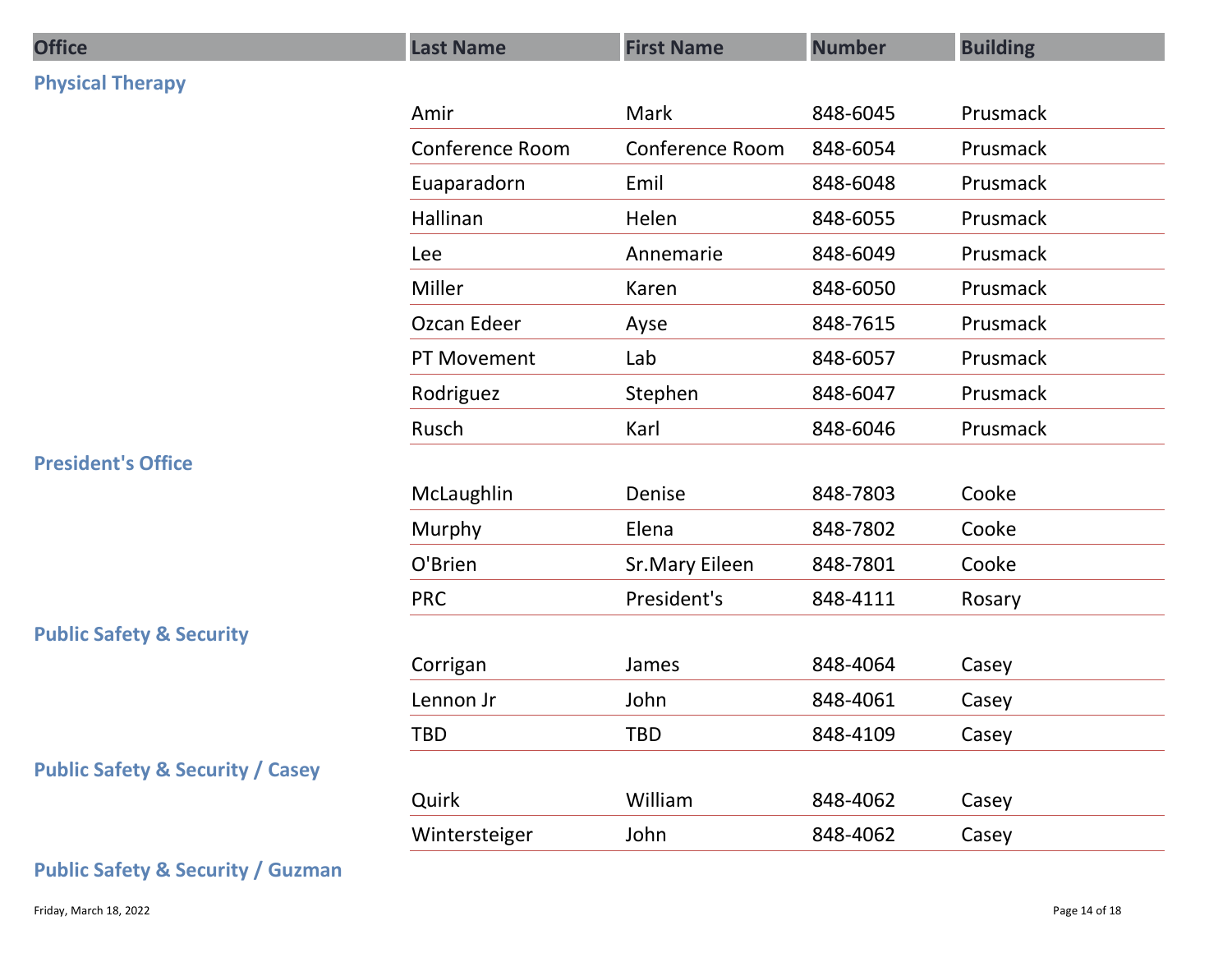| <b>Office</b>                                | <b>Last Name</b> | <b>First Name</b> | <b>Number</b> | <b>Building</b> |
|----------------------------------------------|------------------|-------------------|---------------|-----------------|
| <b>Physical Therapy</b>                      |                  |                   |               |                 |
|                                              | Amir             | Mark              | 848-6045      | Prusmack        |
|                                              | Conference Room  | Conference Room   | 848-6054      | Prusmack        |
|                                              | Euaparadorn      | Emil              | 848-6048      | Prusmack        |
|                                              | Hallinan         | Helen             | 848-6055      | Prusmack        |
|                                              | Lee              | Annemarie         | 848-6049      | Prusmack        |
|                                              | Miller           | Karen             | 848-6050      | Prusmack        |
|                                              | Ozcan Edeer      | Ayse              | 848-7615      | Prusmack        |
|                                              | PT Movement      | Lab               | 848-6057      | Prusmack        |
|                                              | Rodriguez        | Stephen           | 848-6047      | Prusmack        |
|                                              | Rusch            | Karl              | 848-6046      | Prusmack        |
| <b>President's Office</b>                    |                  |                   |               |                 |
|                                              | McLaughlin       | Denise            | 848-7803      | Cooke           |
|                                              | Murphy           | Elena             | 848-7802      | Cooke           |
|                                              | O'Brien          | Sr.Mary Eileen    | 848-7801      | Cooke           |
|                                              | <b>PRC</b>       | President's       | 848-4111      | Rosary          |
| <b>Public Safety &amp; Security</b>          |                  |                   |               |                 |
|                                              | Corrigan         | James             | 848-4064      | Casey           |
|                                              | Lennon Jr        | John              | 848-4061      | Casey           |
|                                              | TBD              | TBD               | 848-4109      | Casey           |
| <b>Public Safety &amp; Security / Casey</b>  |                  |                   |               |                 |
|                                              | Quirk            | William           | 848-4062      | Casey           |
|                                              | Wintersteiger    | John              | 848-4062      | Casey           |
| <b>Public Safety &amp; Security / Guzman</b> |                  |                   |               |                 |
| Friday, March 18, 2022                       |                  |                   |               | Page 14 of 18   |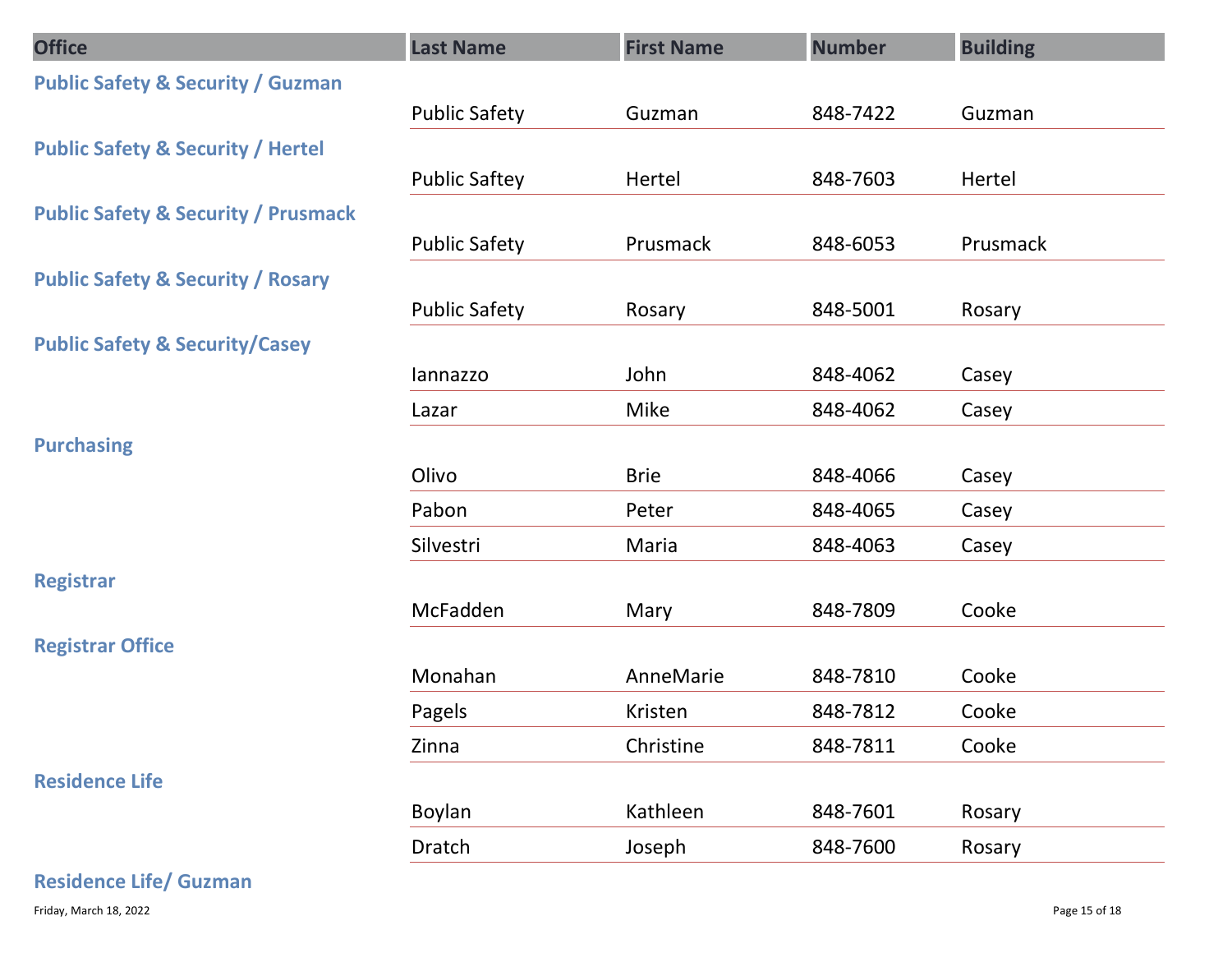| <b>Office</b>                                  | <b>Last Name</b>     | <b>First Name</b> | <b>Number</b> | <b>Building</b> |
|------------------------------------------------|----------------------|-------------------|---------------|-----------------|
| <b>Public Safety &amp; Security / Guzman</b>   |                      |                   |               |                 |
|                                                | <b>Public Safety</b> | Guzman            | 848-7422      | Guzman          |
| <b>Public Safety &amp; Security / Hertel</b>   |                      |                   |               |                 |
|                                                | <b>Public Saftey</b> | Hertel            | 848-7603      | Hertel          |
| <b>Public Safety &amp; Security / Prusmack</b> |                      | Prusmack          | 848-6053      | Prusmack        |
| <b>Public Safety &amp; Security / Rosary</b>   | <b>Public Safety</b> |                   |               |                 |
|                                                | <b>Public Safety</b> | Rosary            | 848-5001      | Rosary          |
| <b>Public Safety &amp; Security/Casey</b>      |                      |                   |               |                 |
|                                                | lannazzo             | John              | 848-4062      | Casey           |
|                                                | Lazar                | Mike              | 848-4062      | Casey           |
| <b>Purchasing</b>                              |                      |                   |               |                 |
|                                                | Olivo                | <b>Brie</b>       | 848-4066      | Casey           |
|                                                | Pabon                | Peter             | 848-4065      | Casey           |
|                                                | Silvestri            | Maria             | 848-4063      | Casey           |
| Registrar                                      |                      |                   |               |                 |
|                                                | McFadden             | Mary              | 848-7809      | Cooke           |
| <b>Registrar Office</b>                        | Monahan              | AnneMarie         | 848-7810      | Cooke           |
|                                                | Pagels               | Kristen           | 848-7812      | Cooke           |
|                                                | Zinna                | Christine         | 848-7811      | Cooke           |
| <b>Residence Life</b>                          |                      |                   |               |                 |
|                                                | Boylan               | Kathleen          | 848-7601      | Rosary          |
|                                                | Dratch               | Joseph            | 848-7600      | Rosary          |
| <b>Residence Life/ Guzman</b>                  |                      |                   |               |                 |
| Friday, March 18, 2022                         |                      |                   |               | Page 15 of 18   |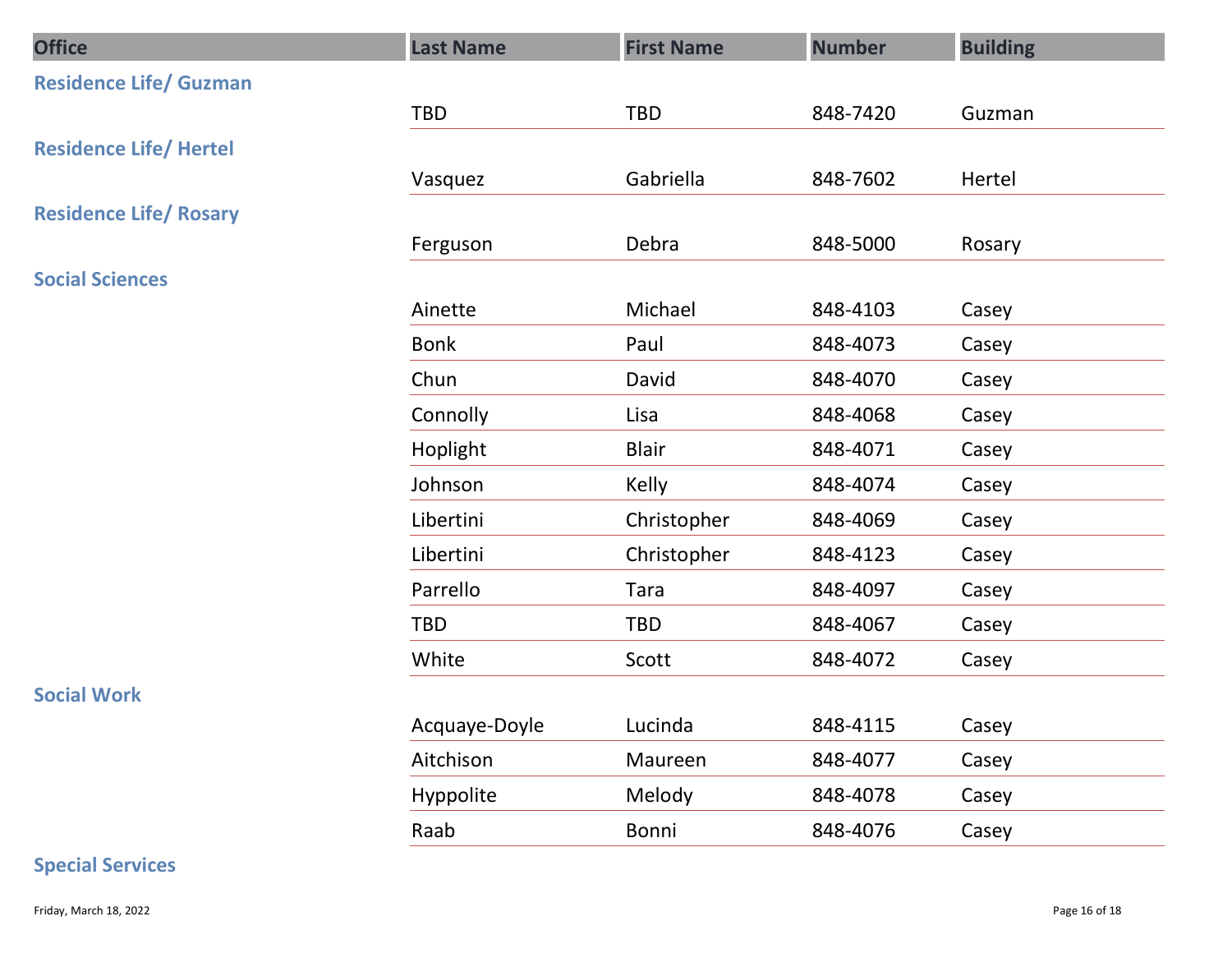| <b>Office</b>                 | <b>Last Name</b> | <b>First Name</b> | <b>Number</b> | <b>Building</b> |
|-------------------------------|------------------|-------------------|---------------|-----------------|
| <b>Residence Life/ Guzman</b> |                  |                   |               |                 |
|                               | TBD              | TBD               | 848-7420      | Guzman          |
| <b>Residence Life/ Hertel</b> |                  |                   |               |                 |
|                               | Vasquez          | Gabriella         | 848-7602      | Hertel          |
| <b>Residence Life/ Rosary</b> |                  | Debra             | 848-5000      |                 |
| <b>Social Sciences</b>        | Ferguson         |                   |               | Rosary          |
|                               | Ainette          | Michael           | 848-4103      | Casey           |
|                               | Bonk             | Paul              | 848-4073      | Casey           |
|                               | Chun             | David             | 848-4070      | Casey           |
|                               | Connolly         | Lisa              | 848-4068      | Casey           |
|                               | Hoplight         | <b>Blair</b>      | 848-4071      | Casey           |
|                               | Johnson          | Kelly             | 848-4074      | Casey           |
|                               | Libertini        | Christopher       | 848-4069      | Casey           |
|                               | Libertini        | Christopher       | 848-4123      | Casey           |
|                               | Parrello         | Tara              | 848-4097      | Casey           |
|                               | TBD              | TBD               | 848-4067      | Casey           |
|                               | White            | Scott             | 848-4072      | Casey           |
| <b>Social Work</b>            |                  |                   |               |                 |
|                               | Acquaye-Doyle    | Lucinda           | 848-4115      | Casey           |
|                               | Aitchison        | Maureen           | 848-4077      | Casey           |
|                               | Hyppolite        | Melody            | 848-4078      | Casey           |
|                               | Raab             | Bonni             | 848-4076      | Casey           |
| <b>Special Services</b>       |                  |                   |               |                 |
| Friday, March 18, 2022        |                  |                   |               | Page 16 of 18   |

### Special Services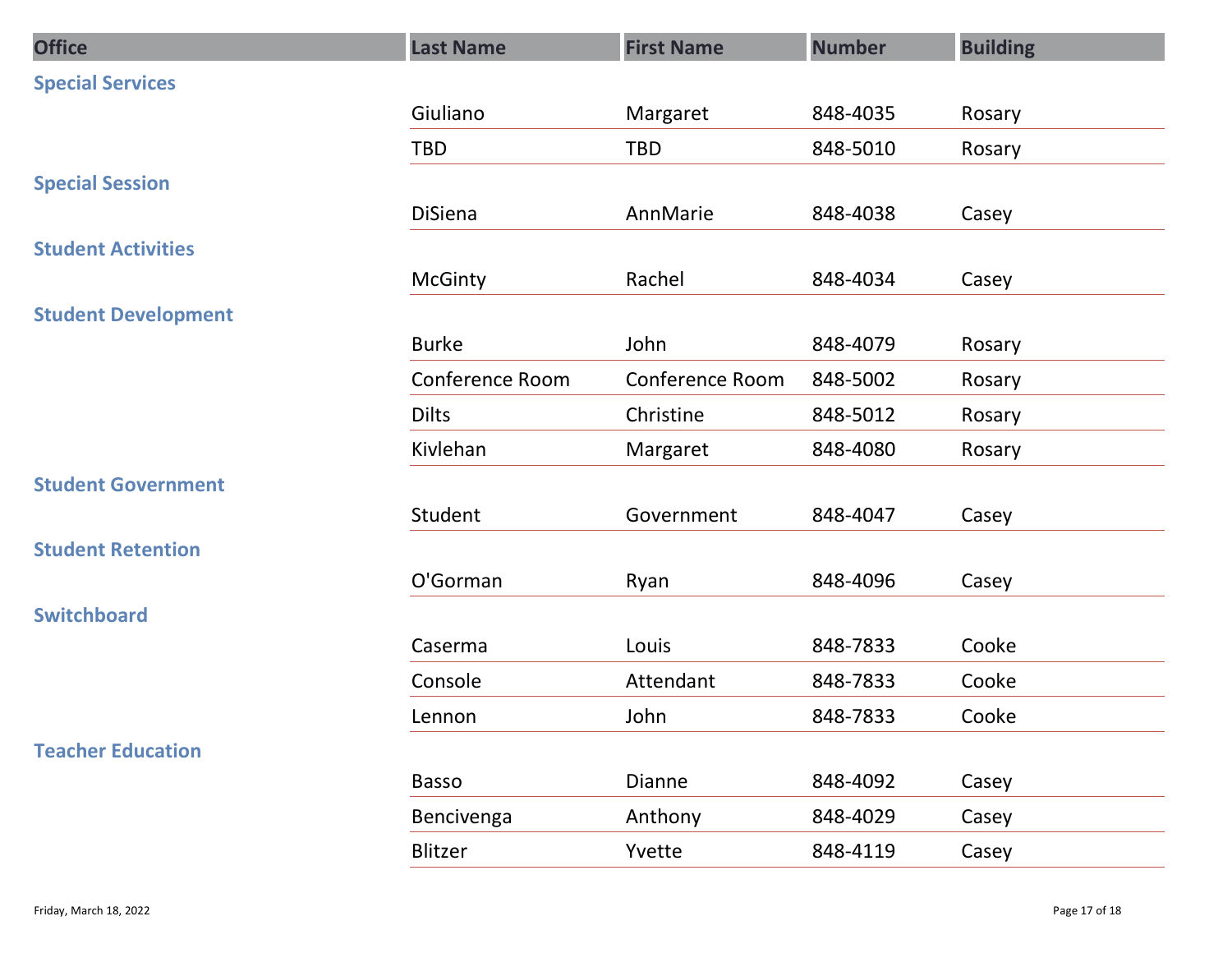| <b>Office</b>              | <b>Last Name</b> | <b>First Name</b> | <b>Number</b> | <b>Building</b> |
|----------------------------|------------------|-------------------|---------------|-----------------|
| <b>Special Services</b>    |                  |                   |               |                 |
|                            | Giuliano         | Margaret          | 848-4035      | Rosary          |
|                            | TBD              | <b>TBD</b>        | 848-5010      | Rosary          |
| <b>Special Session</b>     |                  |                   |               |                 |
|                            | DiSiena          | AnnMarie          | 848-4038      | Casey           |
| <b>Student Activities</b>  |                  |                   |               |                 |
|                            | <b>McGinty</b>   | Rachel            | 848-4034      | Casey           |
| <b>Student Development</b> |                  |                   |               |                 |
|                            | <b>Burke</b>     | John              | 848-4079      | Rosary          |
|                            | Conference Room  | Conference Room   | 848-5002      | Rosary          |
|                            | <b>Dilts</b>     | Christine         | 848-5012      | Rosary          |
|                            | Kivlehan         | Margaret          | 848-4080      | Rosary          |
| <b>Student Government</b>  | Student          | Government        | 848-4047      |                 |
| <b>Student Retention</b>   |                  |                   |               | Casey           |
|                            | O'Gorman         | Ryan              | 848-4096      | Casey           |
| <b>Switchboard</b>         |                  |                   |               |                 |
|                            | Caserma          | Louis             | 848-7833      | Cooke           |
|                            | Console          | Attendant         | 848-7833      | Cooke           |
|                            | Lennon           | John              | 848-7833      | Cooke           |
| <b>Teacher Education</b>   |                  |                   |               |                 |
|                            | Basso            | Dianne            | 848-4092      | Casey           |
|                            | Bencivenga       | Anthony           | 848-4029      | Casey           |
|                            | Blitzer          | Yvette            | 848-4119      | Casey           |